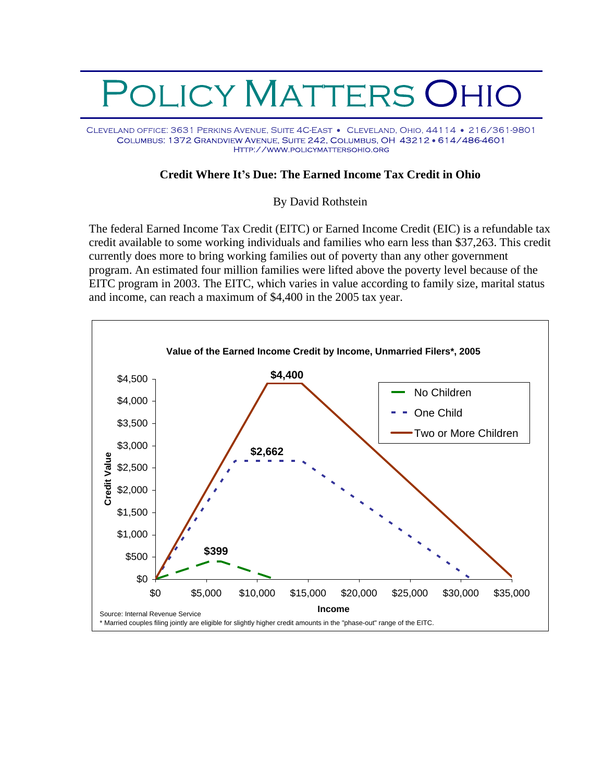## OLICY MATTERS OHIO

CLEVELAND OFFICE: 3631 PERKINS AVENUE, SUITE 4C-EAST . CLEVELAND, OHIO, 44114 . 216/361-9801 COLUMBUS: 1372 GRANDVIEW AVENUE, SUITE 242, COLUMBUS, OH 43212 · 614/486-4601 HTTP://WWW.POLICYMATTERSOHIO.ORG

## **Credit Where It s Due: The Earned Income Tax Credit in Ohio**

## By David Rothstein

The federal Earned Income Tax Credit (EITC) or Earned Income Credit (EIC) is a refundable tax credit available to some working individuals and families who earn less than \$37,263. This credit currently does more to bring working families out of poverty than any other government program. An estimated four million families were lifted above the poverty level because of the EITC program in 2003. The EITC, which varies in value according to family size, marital status and income, can reach a maximum of \$4,400 in the 2005 tax year.

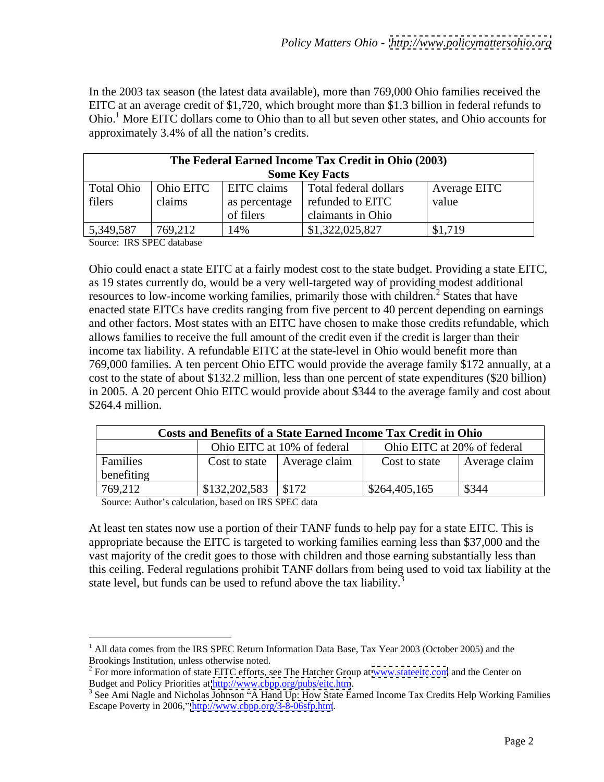In the 2003 tax season (the latest data available), more than 769,000 Ohio families received the EITC at an average credit of \$1,720, which brought more than \$1.3 billion in federal refunds to Ohio.<sup>1</sup> More EITC dollars come to Ohio than to all but seven other states, and Ohio accounts for approximately 3.4% of all the nation's credits.

|            |           |                        | The Federal Earned Income Tax Credit in Ohio (2003) |              |
|------------|-----------|------------------------|-----------------------------------------------------|--------------|
|            |           |                        | <b>Some Key Facts</b>                               |              |
| Total Ohio | Ohio EITC | <b>EITO</b><br>, стани | otal federal dollars                                | Average EITC |
| filers     | claim     |                        | as percentage   refunded to EITC                    | value        |
|            |           | of filers              | claimants in Ohio                                   |              |
| 5,349,587  | 769,21    | 14%                    | \$1,322,025,827                                     | $1$ \$1,715  |

Source: IRS SPEC database Security and the security of the security of the security of the security of the security of the security of the security of the security of the security of the security of the security of the sec

Ohio could enact a state EITC at a fairly modest cost to the state budget. Providing a state EITC, as 19 states currently do, would be a very well-targeted way of providing modest additional resources to low-income working families, primarily those with children.<sup>2</sup> States that have enacted state EITCs have credits ranging from five percent to 40 percent depending on earnings and other factors. Most states with an EITC have chosen to make those credits refundable, which allows families to receive the full amount of the credit even if the credit is larger than their income tax liability. A refundable EITC at the state-level in Ohio would benefit more than 769,000 families. A ten percent Ohio EITC would provide the average family \$172 annually, at a cost to the state of about \$132.2 million, less than one percent of state expenditures (\$20 billion) in 2005. A 20 percent Ohio EITC would provide about \$344 to the average family and cost about \$264.4 million.

|            | Costs and Benefits of a State Earned Income Tax Credit in Ohio |                             |                         |                             |
|------------|----------------------------------------------------------------|-----------------------------|-------------------------|-----------------------------|
|            |                                                                | Ohio EITC at 10% of federal |                         | Ohio EITC at 20% of federal |
| Familie    | ost to state                                                   | Average claim               | $\text{Cost}$ to state  | Average claim               |
| benefiting |                                                                |                             |                         |                             |
| 769,212    | $\vert$ \$132,202,583 $\vert$ \$172                            |                             | $\frac{$264,405,165}{}$ | \$344                       |

Source: Author's calculation, based on IRS SPEC data

At least ten states now use a portion of their TANF funds to help pay for a state EITC. This is appropriate because the EITC is targeted to working families earning less than \$37,000 and the vast majority of the credit goes to those with children and those earning substantially less than this ceiling. Federal regulations prohibit TANF dollars from being used to void tax liability at the state level, but funds can be used to refund above the tax liability.<sup>3</sup>

<sup>&</sup>lt;sup>1</sup> All data comes from the IRS SPEC Return Information Data Base, Tax Year 2003 (October 2005) and the Brookings Institution, unless otherwise noted.<br><sup>2</sup> For more information of state EITC efforts, see The Hatcher Group at <u>www.stateeitc.com</u> and the Center on

Budget and Policy Priorities at <u>http://www.cbpp.org/pubs/eitc.htm</u>.<br><sup>3</sup> See Ami Nagle and Nicholas Johnson ''A Hand Up: How State Earned Income Tax Credits Help Working Families Escape Poverty in 2006," <http://www.cbpp.org/3-8-06sfp.htm>.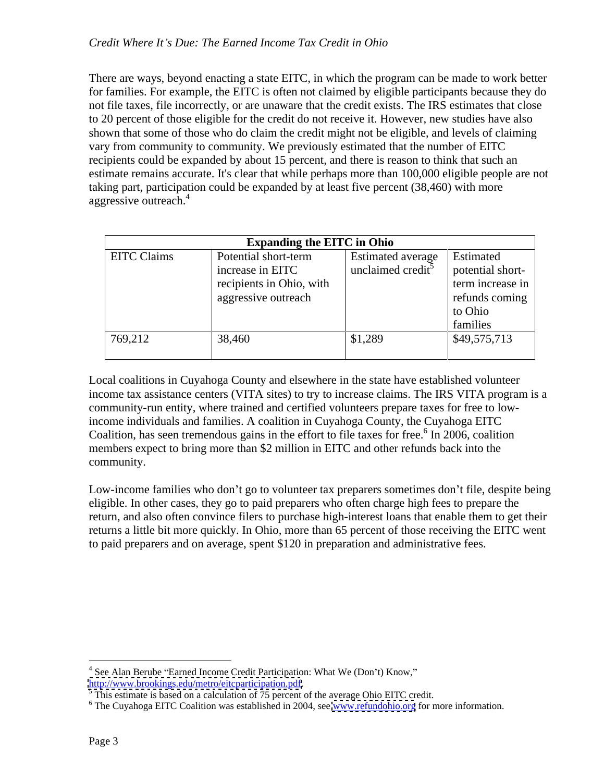There are ways, beyond enacting a state EITC, in which the program can be made to work better for families. For example, the EITC is often not claimed by eligible participants because they do not file taxes, file incorrectly, or are unaware that the credit exists. The IRS estimates that close to 20 percent of those eligible for the credit do not receive it. However, new studies have also shown that some of those who do claim the credit might not be eligible, and levels of claiming vary from community to community. We previously estimated that the number of EITC recipients could be expanded by about 15 percent, and there is reason to think that such an estimate remains accurate. It's clear that while perhaps more than 100,000 eligible people are not taking part, participation could be expanded by at least five percent (38,460) with more aggressive outreach.<sup>4</sup>

|                    | <b>Expanding the EITC in Ohio</b> |                               |                  |
|--------------------|-----------------------------------|-------------------------------|------------------|
| <b>EITC</b> Claims | Potential short-term              | Estimated average   Estimated |                  |
|                    | increase in EITC                  | unclaimed credit <sup>5</sup> | potential short- |
|                    | recipients in Ohio, with          |                               | term increase in |
|                    | aggressive outreach               |                               | refunds coming   |
|                    |                                   |                               | to Ohio          |
|                    |                                   |                               | families         |
| 769,212            | 38,460                            | \$1,289                       | \$49,575,713     |

Local coalitions in Cuyahoga County and elsewhere in the state have established volunteer income tax assistance centers (VITA sites) to try to increase claims. The IRS VITA program is a community-run entity, where trained and certified volunteers prepare taxes for free to lowincome individuals and families. A coalition in Cuyahoga County, the Cuyahoga EITC Coalition, has seen tremendous gains in the effort to file taxes for free. $6$  In 2006, coalition members expect to bring more than \$2 million in EITC and other refunds back into the community.

Low-income families who don't go to volunteer tax preparers sometimes don't file, despite being eligible. In other cases, they go to paid preparers who often charge high fees to prepare the return, and also often convince filers to purchase high-interest loans that enable them to get their returns a little bit more quickly. In Ohio, more than 65 percent of those receiving the EITC went to paid preparers and on average, spent \$120 in preparation and administrative fees.

<sup>&</sup>lt;sup>4</sup> See Alan Berube "Earned Income Credit Participation: What We (Don't) Know," [http://www.brookings.edu/metro/eitcparticipation.pdf.](http://www.brookings.edu/metro/eitcparticipation.pdf)<br><sup>[5](http://www.brookings.edu/metro/eitcparticipation.pdf)</sup> This estimate is besed on a calculation of 75 persont of the system of the EUC credit.

This estimate is based on a calculation of 75 percent of the average Ohio EITC credit.<br><sup>6</sup> The Cuyahoga EITC Coalition was established in 2004, see www.refundabio.org for more information

<sup>&</sup>lt;sup>6</sup> The Cuyahoga EITC Coalition was established in 2004, see [www.refundohio.org](http://www.refundohio.org) for more information.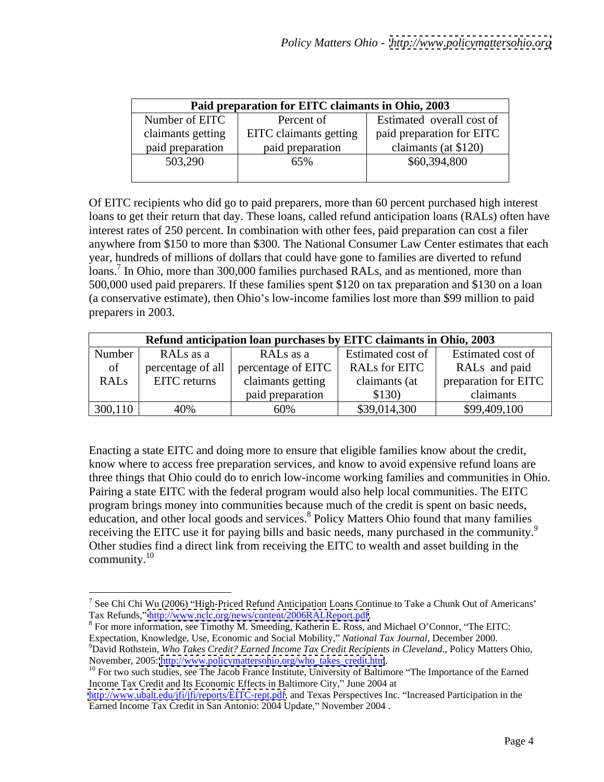|                   | Paid preparation for EITC claimants in Ohio, 2003 |                            |
|-------------------|---------------------------------------------------|----------------------------|
| Number of EITC    | Percent of                                        | Estimated overall cost of  |
| claimants getting | EITC claimants getting                            | paid preparation for EITC  |
| paid preparation  | d preparation                                     | $\text{imants}$ (at \$120) |
| 503,290           | $\sim$ $\sim$ $\sim$<br>63%                       | \$60,394,800               |
|                   |                                                   |                            |

Of EITC recipients who did go to paid preparers, more than 60 percent purchased high interest loans to get their return that day. These loans, called refund anticipation loans (RALs) often have interest rates of 250 percent. In combination with other fees, paid preparation can cost a filer anywhere from \$150 to more than \$300. The National Consumer Law Center estimates that each year, hundreds of millions of dollars that could have gone to families are diverted to refund loans.<sup>7</sup> In Ohio, more than 300,000 families purchased RALs, and as mentioned, more than 500,000 used paid preparers. If these families spent \$120 on tax preparation and \$130 on a loan (a conservative estimate), then Ohio's low-income families lost more than \$99 million to paid preparers in 2003.

|               |                       | Refund anticipation loan purchases by EITC claimants in Ohio, 2003 |                      |                       |
|---------------|-----------------------|--------------------------------------------------------------------|----------------------|-----------------------|
| <b>Number</b> | RALs as a             | RALs as a                                                          | Estimated cost of    | f   Estimated cost of |
|               |                       | $\vert$ percentage of all $\vert$ percentage of EITC $\vert$       | <b>RALs for EITC</b> | RALs and paid         |
|               | EITO.<br>EITC returns | annants getting                                                    | mants (at            | preparation for EITC  |
|               |                       | d preparation                                                      | \$130                | claimants             |
| 300,110       | 4U 70                 | OU ZC                                                              | \$39.014.300         | \$99,409,100          |

Enacting a state EITC and doing more to ensure that eligible families know about the credit, know where to access free preparation services, and know to avoid expensive refund loans are three things that Ohio could do to enrich low-income working families and communities in Ohio. Pairing a state EITC with the federal program would also help local communities. The EITC program brings money into communities because much of the credit is spent on basic needs, education, and other local goods and services.<sup>8</sup> Policy Matters Ohio found that many families receiving the EITC use it for paying bills and basic needs, many purchased in the community.<sup>9</sup> Other studies find a direct link from receiving the EITC to wealth and asset building in the  $\epsilon$  community.<sup>10</sup>

<sup>&</sup>lt;sup>7</sup> See Chi Chi Wu (2006) "High-Priced Refund Anticipation Loans Continue to Take a Chunk Out of Americans' Tax Refunds," http://www.nclc.org/news/content/2006RALReport.pdf.

 $8$  For more information, see Timothy M. Smeeding, Katherin E. Ross, and Michael O'Connor, "The EITC:

Expectation, Knowledge, Use, Economic and Social Mobility," National Tax Journal, December 2000.<br><sup>9</sup>David Rothstein, *Who Takes Credit? Earned Income Tax Credit Recipients in Cleveland.*, Policy Matters Ohio, November, 2005: [http://www.policymattersohio.org/who\\_takes\\_credit.htm](http://www.policymattersohio.org/who_takes_credit.htm). 10<br><sup>10</sup> For two such studies, see The Jacob France Institute, University of Baltimore "The Importance of the Earned

Income Tax Credit and Its Economic Effects in Baltimore City," June 2004 at

[http://www.ubalt.edu/jfi/jfi/reports/EITC-rept.pdf.](http://www.ubalt.edu/jfi/jfi/reports/EITC-rept.pdf) and Texas Perspectives Inc. "Increased Participation in the Earned Income Tax Credit in San Antonio: 2004 Update," November 2004.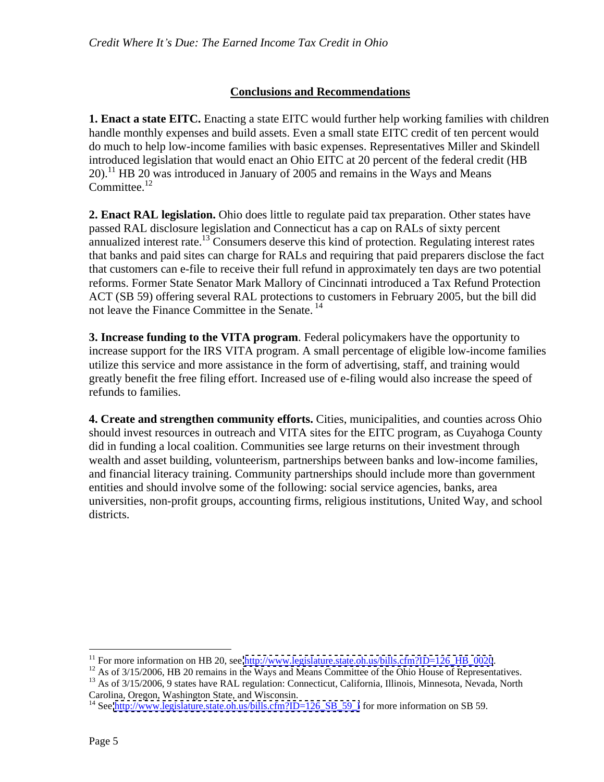## **Conclusions and Recommendations**

**1. Enact a state EITC.** Enacting a state EITC would further help working families with children handle monthly expenses and build assets. Even a small state EITC credit of ten percent would do much to help low-income families with basic expenses. Representatives Miller and Skindell introduced legislation that would enact an Ohio EITC at 20 percent of the federal credit (HB 20).<sup>11</sup> HB 20 was introduced in January of 2005 and remains in the Ways and Means Committee.<sup>12</sup> Committee.<sup>12</sup>

**2. Enact RAL legislation.** Ohio does little to regulate paid tax preparation. Other states have passed RAL disclosure legislation and Connecticut has a cap on RALs of sixty percent annualized interest rate.<sup>13</sup> Consumers deserve this kind of protection. Regulating interest rates that banks and paid sites can charge for RALs and requiring that paid preparers disclose the fact that customers can e-file to receive their full refund in approximately ten days are two potential reforms. Former State Senator Mark Mallory of Cincinnati introduced a Tax Refund Protection ACT (SB 59) offering several RAL protections to customers in February 2005, but the bill did not leave the Finance Committee in the Senate. <sup>14</sup>

**3. Increase funding to the VITA program**. Federal policymakers have the opportunity to increase support for the IRS VITA program. A small percentage of eligible low-income families utilize this service and more assistance in the form of advertising, staff, and training would greatly benefit the free filing effort. Increased use of e-filing would also increase the speed of refunds to families.

**4. Create and strengthen community efforts.** Cities, municipalities, and counties across Ohio should invest resources in outreach and VITA sites for the EITC program, as Cuyahoga County did in funding a local coalition. Communities see large returns on their investment through wealth and asset building, volunteerism, partnerships between banks and low-income families, and financial literacy training. Community partnerships should include more than government entities and should involve some of the following: social service agencies, banks, area universities, non-profit groups, accounting firms, religious institutions, United Way, and school districts.

<sup>&</sup>lt;sup>11</sup> For more information on HB 20, see  $\frac{http://www.legislature.state.oh.us/bills.cfm?ID=126$  HB 0020.<br><sup>12</sup> As of 3/15/2006, HB 20 remains in the Ways and Means Committee of the Ohio House of Representatives.<br><sup>13</sup> As of 3/15/2006, 9 states have RA

<sup>&</sup>lt;sup>14</sup> See [http://www.legislature.state.oh.us/bills.cfm?ID=126\\_SB\\_59\\_I](http://www.legislature.state.oh.us/bills.cfm?ID=126_SB_59_I) for more information on SB 59.